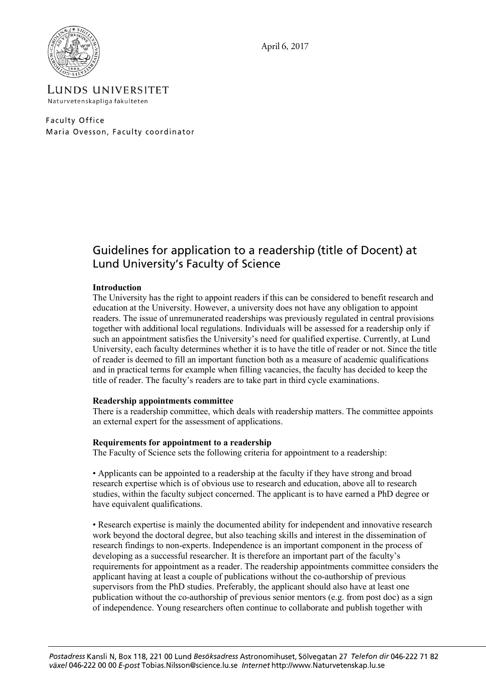



LUNDS UNIVERSITET Naturvetenskapliga fakulteten

Faculty Office Maria Ovesson, Faculty coordinator

# Guidelines for application to a readership (title of Docent) at Lund University's Faculty of Science

# **Introduction**

The University has the right to appoint readers if this can be considered to benefit research and education at the University. However, a university does not have any obligation to appoint readers. The issue of unremunerated readerships was previously regulated in central provisions together with additional local regulations. Individuals will be assessed for a readership only if such an appointment satisfies the University's need for qualified expertise. Currently, at Lund University, each faculty determines whether it is to have the title of reader or not. Since the title of reader is deemed to fill an important function both as a measure of academic qualifications and in practical terms for example when filling vacancies, the faculty has decided to keep the title of reader. The faculty's readers are to take part in third cycle examinations.

# **Readership appointments committee**

There is a readership committee, which deals with readership matters. The committee appoints an external expert for the assessment of applications.

# **Requirements for appointment to a readership**

The Faculty of Science sets the following criteria for appointment to a readership:

• Applicants can be appointed to a readership at the faculty if they have strong and broad research expertise which is of obvious use to research and education, above all to research studies, within the faculty subject concerned. The applicant is to have earned a PhD degree or have equivalent qualifications.

• Research expertise is mainly the documented ability for independent and innovative research work beyond the doctoral degree, but also teaching skills and interest in the dissemination of research findings to non-experts. Independence is an important component in the process of developing as a successful researcher. It is therefore an important part of the faculty's requirements for appointment as a reader. The readership appointments committee considers the applicant having at least a couple of publications without the co-authorship of previous supervisors from the PhD studies. Preferably, the applicant should also have at least one publication without the co-authorship of previous senior mentors (e.g. from post doc) as a sign of independence. Young researchers often continue to collaborate and publish together with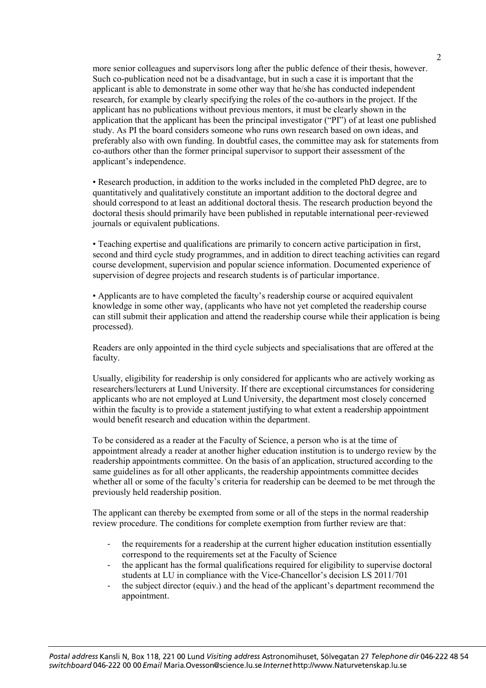more senior colleagues and supervisors long after the public defence of their thesis, however. Such co-publication need not be a disadvantage, but in such a case it is important that the applicant is able to demonstrate in some other way that he/she has conducted independent research, for example by clearly specifying the roles of the co-authors in the project. If the applicant has no publications without previous mentors, it must be clearly shown in the application that the applicant has been the principal investigator ("PI") of at least one published study. As PI the board considers someone who runs own research based on own ideas, and preferably also with own funding. In doubtful cases, the committee may ask for statements from co-authors other than the former principal supervisor to support their assessment of the applicant's independence.

• Research production, in addition to the works included in the completed PhD degree, are to quantitatively and qualitatively constitute an important addition to the doctoral degree and should correspond to at least an additional doctoral thesis. The research production beyond the doctoral thesis should primarily have been published in reputable international peer-reviewed journals or equivalent publications.

• Teaching expertise and qualifications are primarily to concern active participation in first, second and third cycle study programmes, and in addition to direct teaching activities can regard course development, supervision and popular science information. Documented experience of supervision of degree projects and research students is of particular importance.

• Applicants are to have completed the faculty's readership course or acquired equivalent knowledge in some other way, (applicants who have not yet completed the readership course can still submit their application and attend the readership course while their application is being processed).

Readers are only appointed in the third cycle subjects and specialisations that are offered at the faculty.

Usually, eligibility for readership is only considered for applicants who are actively working as researchers/lecturers at Lund University. If there are exceptional circumstances for considering applicants who are not employed at Lund University, the department most closely concerned within the faculty is to provide a statement justifying to what extent a readership appointment would benefit research and education within the department.

To be considered as a reader at the Faculty of Science, a person who is at the time of appointment already a reader at another higher education institution is to undergo review by the readership appointments committee. On the basis of an application, structured according to the same guidelines as for all other applicants, the readership appointments committee decides whether all or some of the faculty's criteria for readership can be deemed to be met through the previously held readership position.

The applicant can thereby be exempted from some or all of the steps in the normal readership review procedure. The conditions for complete exemption from further review are that:

- the requirements for a readership at the current higher education institution essentially correspond to the requirements set at the Faculty of Science
- the applicant has the formal qualifications required for eligibility to supervise doctoral students at LU in compliance with the Vice-Chancellor's decision LS 2011/701
- the subject director (equiv.) and the head of the applicant's department recommend the appointment.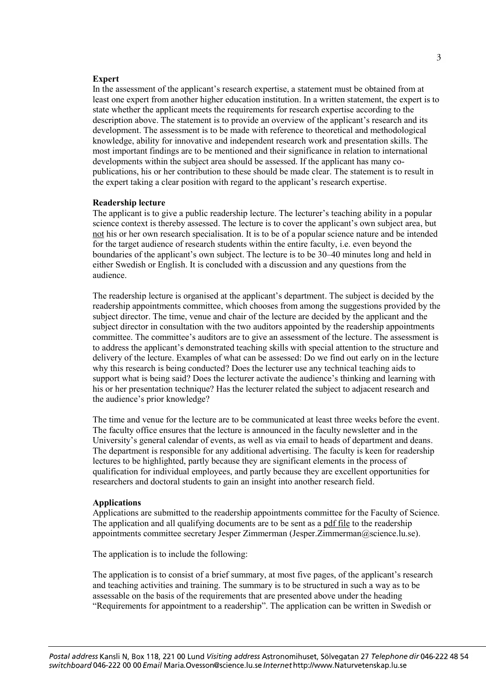#### **Expert**

In the assessment of the applicant's research expertise, a statement must be obtained from at least one expert from another higher education institution. In a written statement, the expert is to state whether the applicant meets the requirements for research expertise according to the description above. The statement is to provide an overview of the applicant's research and its development. The assessment is to be made with reference to theoretical and methodological knowledge, ability for innovative and independent research work and presentation skills. The most important findings are to be mentioned and their significance in relation to international developments within the subject area should be assessed. If the applicant has many copublications, his or her contribution to these should be made clear. The statement is to result in the expert taking a clear position with regard to the applicant's research expertise.

#### **Readership lecture**

The applicant is to give a public readership lecture. The lecturer's teaching ability in a popular science context is thereby assessed. The lecture is to cover the applicant's own subject area, but not his or her own research specialisation. It is to be of a popular science nature and be intended for the target audience of research students within the entire faculty, i.e. even beyond the boundaries of the applicant's own subject. The lecture is to be 30–40 minutes long and held in either Swedish or English. It is concluded with a discussion and any questions from the audience.

The readership lecture is organised at the applicant's department. The subject is decided by the readership appointments committee, which chooses from among the suggestions provided by the subject director. The time, venue and chair of the lecture are decided by the applicant and the subject director in consultation with the two auditors appointed by the readership appointments committee. The committee's auditors are to give an assessment of the lecture. The assessment is to address the applicant's demonstrated teaching skills with special attention to the structure and delivery of the lecture. Examples of what can be assessed: Do we find out early on in the lecture why this research is being conducted? Does the lecturer use any technical teaching aids to support what is being said? Does the lecturer activate the audience's thinking and learning with his or her presentation technique? Has the lecturer related the subject to adjacent research and the audience's prior knowledge?

The time and venue for the lecture are to be communicated at least three weeks before the event. The faculty office ensures that the lecture is announced in the faculty newsletter and in the University's general calendar of events, as well as via email to heads of department and deans. The department is responsible for any additional advertising. The faculty is keen for readership lectures to be highlighted, partly because they are significant elements in the process of qualification for individual employees, and partly because they are excellent opportunities for researchers and doctoral students to gain an insight into another research field.

## **Applications**

Applications are submitted to the readership appointments committee for the Faculty of Science. The application and all qualifying documents are to be sent as a pdf file to the readership appointments committee secretary Jesper Zimmerman (Jesper.Zimmerman@science.lu.se).

The application is to include the following:

The application is to consist of a brief summary, at most five pages, of the applicant's research and teaching activities and training. The summary is to be structured in such a way as to be assessable on the basis of the requirements that are presented above under the heading "Requirements for appointment to a readership". The application can be written in Swedish or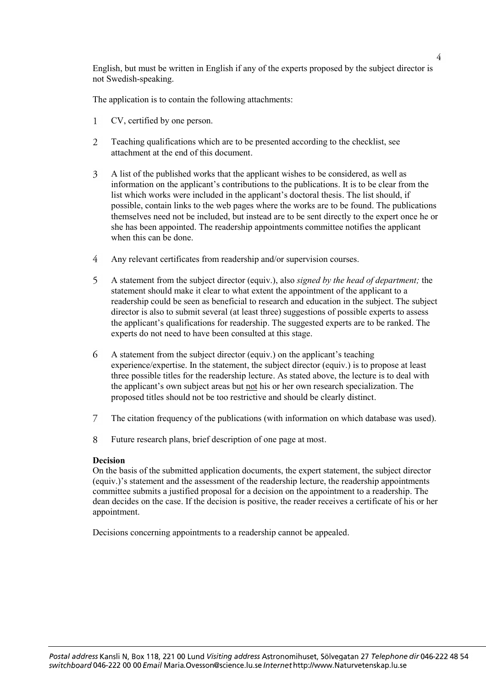English, but must be written in English if any of the experts proposed by the subject director is not Swedish-speaking.

The application is to contain the following attachments:

- $\mathbf{1}$ CV, certified by one person.
- $\overline{2}$ Teaching qualifications which are to be presented according to the checklist, see attachment at the end of this document.
- $\mathfrak{Z}$ A list of the published works that the applicant wishes to be considered, as well as information on the applicant's contributions to the publications. It is to be clear from the list which works were included in the applicant's doctoral thesis. The list should, if possible, contain links to the web pages where the works are to be found. The publications themselves need not be included, but instead are to be sent directly to the expert once he or she has been appointed. The readership appointments committee notifies the applicant when this can be done.
- $\overline{4}$ Any relevant certificates from readership and/or supervision courses.
- A statement from the subject director (equiv.), also *signed by the head of department;* the  $5<sup>1</sup>$ statement should make it clear to what extent the appointment of the applicant to a readership could be seen as beneficial to research and education in the subject. The subject director is also to submit several (at least three) suggestions of possible experts to assess the applicant's qualifications for readership. The suggested experts are to be ranked. The experts do not need to have been consulted at this stage.
- 6 A statement from the subject director (equiv.) on the applicant's teaching experience/expertise. In the statement, the subject director (equiv.) is to propose at least three possible titles for the readership lecture. As stated above, the lecture is to deal with the applicant's own subject areas but not his or her own research specialization. The proposed titles should not be too restrictive and should be clearly distinct.
- $\overline{7}$ The citation frequency of the publications (with information on which database was used).
- 8 Future research plans, brief description of one page at most.

# **Decision**

On the basis of the submitted application documents, the expert statement, the subject director (equiv.)'s statement and the assessment of the readership lecture, the readership appointments committee submits a justified proposal for a decision on the appointment to a readership. The dean decides on the case. If the decision is positive, the reader receives a certificate of his or her appointment.

Decisions concerning appointments to a readership cannot be appealed.